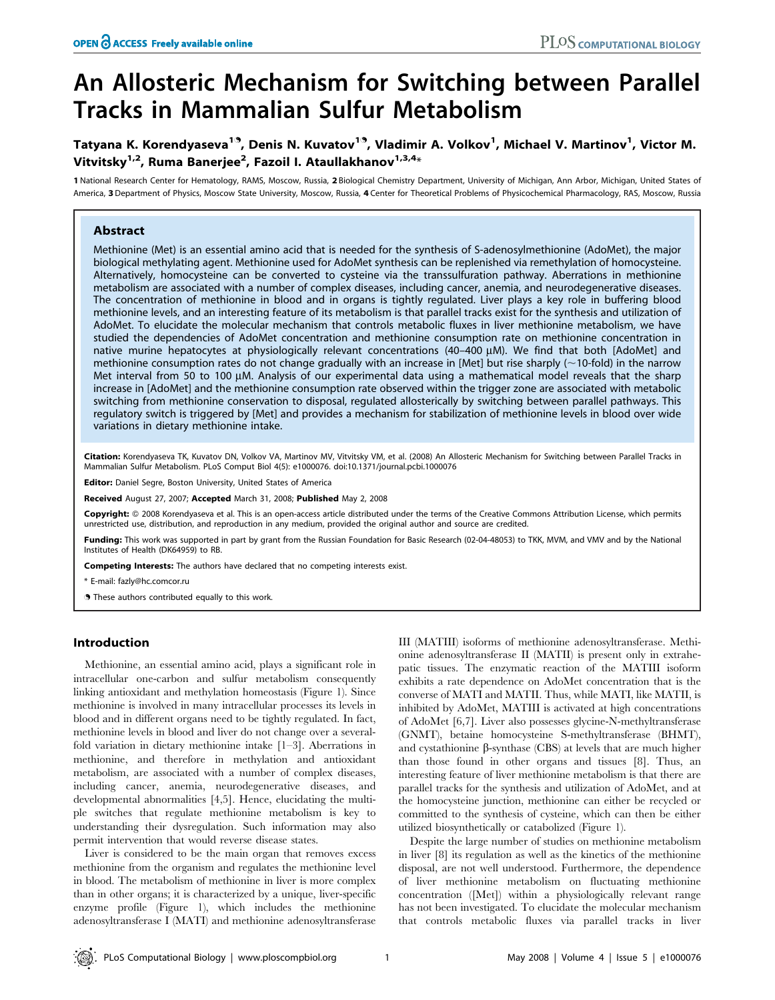# An Allosteric Mechanism for Switching between Parallel Tracks in Mammalian Sulfur Metabolism

## Tatyana K. Korendyaseva<sup>19</sup>, Denis N. Kuvatov<sup>19</sup>, Vladimir A. Volkov<sup>1</sup>, Michael V. Martinov<sup>1</sup>, Victor M. Vitvitsky $^{1,2}$ , Ruma Banerjee $^2$ , Fazoil I. Ataullakhanov $^{1,3,4_\times}$

1 National Research Center for Hematology, RAMS, Moscow, Russia, 2 Biological Chemistry Department, University of Michigan, Ann Arbor, Michigan, United States of America, 3 Department of Physics, Moscow State University, Moscow, Russia, 4 Center for Theoretical Problems of Physicochemical Pharmacology, RAS, Moscow, Russia

## Abstract

Methionine (Met) is an essential amino acid that is needed for the synthesis of S-adenosylmethionine (AdoMet), the major biological methylating agent. Methionine used for AdoMet synthesis can be replenished via remethylation of homocysteine. Alternatively, homocysteine can be converted to cysteine via the transsulfuration pathway. Aberrations in methionine metabolism are associated with a number of complex diseases, including cancer, anemia, and neurodegenerative diseases. The concentration of methionine in blood and in organs is tightly regulated. Liver plays a key role in buffering blood methionine levels, and an interesting feature of its metabolism is that parallel tracks exist for the synthesis and utilization of AdoMet. To elucidate the molecular mechanism that controls metabolic fluxes in liver methionine metabolism, we have studied the dependencies of AdoMet concentration and methionine consumption rate on methionine concentration in native murine hepatocytes at physiologically relevant concentrations (40-400 µM). We find that both [AdoMet] and methionine consumption rates do not change gradually with an increase in [Met] but rise sharply  $(\sim 10\text{-}$ fold) in the narrow Met interval from 50 to 100  $\mu$ M. Analysis of our experimental data using a mathematical model reveals that the sharp increase in [AdoMet] and the methionine consumption rate observed within the trigger zone are associated with metabolic switching from methionine conservation to disposal, regulated allosterically by switching between parallel pathways. This regulatory switch is triggered by [Met] and provides a mechanism for stabilization of methionine levels in blood over wide variations in dietary methionine intake.

Citation: Korendyaseva TK, Kuvatov DN, Volkov VA, Martinov MV, Vitvitsky VM, et al. (2008) An Allosteric Mechanism for Switching between Parallel Tracks in Mammalian Sulfur Metabolism. PLoS Comput Biol 4(5): e1000076. doi:10.1371/journal.pcbi.1000076

Editor: Daniel Segre, Boston University, United States of America

Received August 27, 2007; Accepted March 31, 2008; Published May 2, 2008

Copyright: © 2008 Korendyaseva et al. This is an open-access article distributed under the terms of the Creative Commons Attribution License, which permits unrestricted use, distribution, and reproduction in any medium, provided the original author and source are credited.

Funding: This work was supported in part by grant from the Russian Foundation for Basic Research (02-04-48053) to TKK, MVM, and VMV and by the National Institutes of Health (DK64959) to RB.

Competing Interests: The authors have declared that no competing interests exist.

\* E-mail: fazly@hc.comcor.ru

. These authors contributed equally to this work.

#### Introduction

Methionine, an essential amino acid, plays a significant role in intracellular one-carbon and sulfur metabolism consequently linking antioxidant and methylation homeostasis (Figure 1). Since methionine is involved in many intracellular processes its levels in blood and in different organs need to be tightly regulated. In fact, methionine levels in blood and liver do not change over a severalfold variation in dietary methionine intake [1–3]. Aberrations in methionine, and therefore in methylation and antioxidant metabolism, are associated with a number of complex diseases, including cancer, anemia, neurodegenerative diseases, and developmental abnormalities [4,5]. Hence, elucidating the multiple switches that regulate methionine metabolism is key to understanding their dysregulation. Such information may also permit intervention that would reverse disease states.

Liver is considered to be the main organ that removes excess methionine from the organism and regulates the methionine level in blood. The metabolism of methionine in liver is more complex than in other organs; it is characterized by a unique, liver-specific enzyme profile (Figure 1), which includes the methionine adenosyltransferase I (MATI) and methionine adenosyltransferase III (MATIII) isoforms of methionine adenosyltransferase. Methionine adenosyltransferase II (MATII) is present only in extrahepatic tissues. The enzymatic reaction of the MATIII isoform exhibits a rate dependence on AdoMet concentration that is the converse of MATI and MATII. Thus, while MATI, like MATII, is inhibited by AdoMet, MATIII is activated at high concentrations of AdoMet [6,7]. Liver also possesses glycine-N-methyltransferase (GNMT), betaine homocysteine S-methyltransferase (BHMT), and cystathionine  $\beta$ -synthase (CBS) at levels that are much higher than those found in other organs and tissues [8]. Thus, an interesting feature of liver methionine metabolism is that there are parallel tracks for the synthesis and utilization of AdoMet, and at the homocysteine junction, methionine can either be recycled or committed to the synthesis of cysteine, which can then be either utilized biosynthetically or catabolized (Figure 1).

Despite the large number of studies on methionine metabolism in liver [8] its regulation as well as the kinetics of the methionine disposal, are not well understood. Furthermore, the dependence of liver methionine metabolism on fluctuating methionine concentration ([Met]) within a physiologically relevant range has not been investigated. To elucidate the molecular mechanism that controls metabolic fluxes via parallel tracks in liver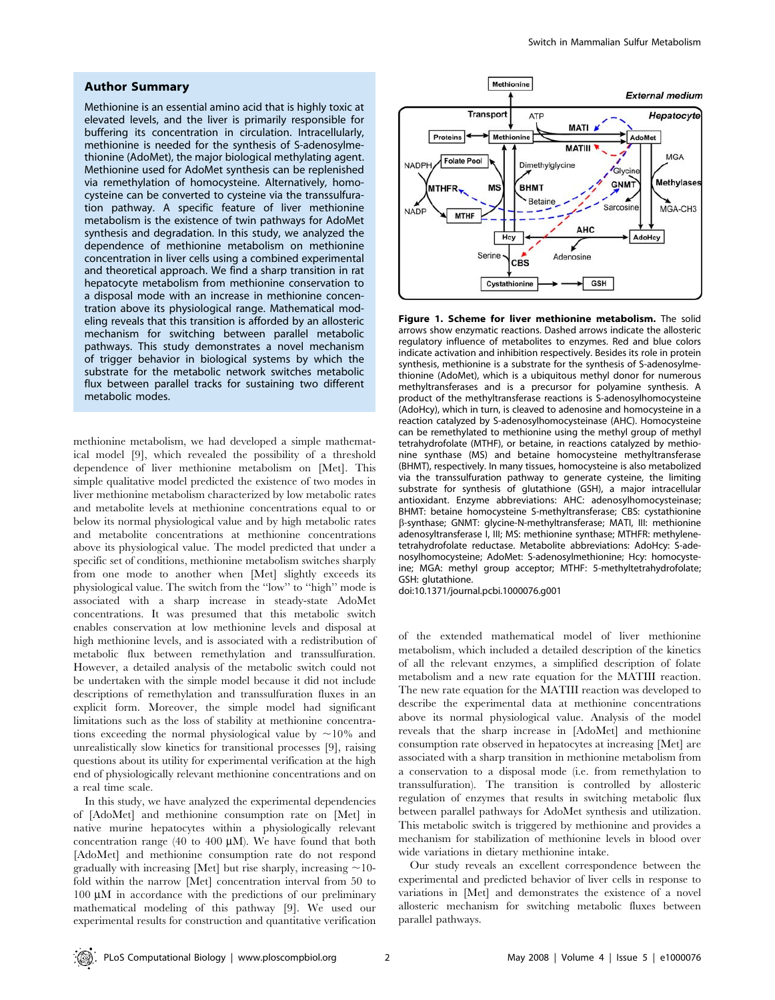#### Author Summary

Methionine is an essential amino acid that is highly toxic at elevated levels, and the liver is primarily responsible for buffering its concentration in circulation. Intracellularly, methionine is needed for the synthesis of S-adenosylmethionine (AdoMet), the major biological methylating agent. Methionine used for AdoMet synthesis can be replenished via remethylation of homocysteine. Alternatively, homocysteine can be converted to cysteine via the transsulfuration pathway. A specific feature of liver methionine metabolism is the existence of twin pathways for AdoMet synthesis and degradation. In this study, we analyzed the dependence of methionine metabolism on methionine concentration in liver cells using a combined experimental and theoretical approach. We find a sharp transition in rat hepatocyte metabolism from methionine conservation to a disposal mode with an increase in methionine concentration above its physiological range. Mathematical modeling reveals that this transition is afforded by an allosteric mechanism for switching between parallel metabolic pathways. This study demonstrates a novel mechanism of trigger behavior in biological systems by which the substrate for the metabolic network switches metabolic flux between parallel tracks for sustaining two different metabolic modes.

methionine metabolism, we had developed a simple mathematical model [9], which revealed the possibility of a threshold dependence of liver methionine metabolism on [Met]. This simple qualitative model predicted the existence of two modes in liver methionine metabolism characterized by low metabolic rates and metabolite levels at methionine concentrations equal to or below its normal physiological value and by high metabolic rates and metabolite concentrations at methionine concentrations above its physiological value. The model predicted that under a specific set of conditions, methionine metabolism switches sharply from one mode to another when [Met] slightly exceeds its physiological value. The switch from the ''low'' to ''high'' mode is associated with a sharp increase in steady-state AdoMet concentrations. It was presumed that this metabolic switch enables conservation at low methionine levels and disposal at high methionine levels, and is associated with a redistribution of metabolic flux between remethylation and transsulfuration. However, a detailed analysis of the metabolic switch could not be undertaken with the simple model because it did not include descriptions of remethylation and transsulfuration fluxes in an explicit form. Moreover, the simple model had significant limitations such as the loss of stability at methionine concentrations exceeding the normal physiological value by  $\sim$ 10% and unrealistically slow kinetics for transitional processes [9], raising questions about its utility for experimental verification at the high end of physiologically relevant methionine concentrations and on a real time scale.

In this study, we have analyzed the experimental dependencies of [AdoMet] and methionine consumption rate on [Met] in native murine hepatocytes within a physiologically relevant concentration range (40 to 400  $\mu$ M). We have found that both [AdoMet] and methionine consumption rate do not respond gradually with increasing [Met] but rise sharply, increasing  $\sim$ 10fold within the narrow [Met] concentration interval from 50 to  $100 \mu M$  in accordance with the predictions of our preliminary mathematical modeling of this pathway [9]. We used our experimental results for construction and quantitative verification



Figure 1. Scheme for liver methionine metabolism. The solid arrows show enzymatic reactions. Dashed arrows indicate the allosteric regulatory influence of metabolites to enzymes. Red and blue colors indicate activation and inhibition respectively. Besides its role in protein synthesis, methionine is a substrate for the synthesis of S-adenosylmethionine (AdoMet), which is a ubiquitous methyl donor for numerous methyltransferases and is a precursor for polyamine synthesis. A product of the methyltransferase reactions is S-adenosylhomocysteine (AdoHcy), which in turn, is cleaved to adenosine and homocysteine in a reaction catalyzed by S-adenosylhomocysteinase (AHC). Homocysteine can be remethylated to methionine using the methyl group of methyl tetrahydrofolate (MTHF), or betaine, in reactions catalyzed by methionine synthase (MS) and betaine homocysteine methyltransferase (BHMT), respectively. In many tissues, homocysteine is also metabolized via the transsulfuration pathway to generate cysteine, the limiting substrate for synthesis of glutathione (GSH), a major intracellular antioxidant. Enzyme abbreviations: AHC: adenosylhomocysteinase; BHMT: betaine homocysteine S-methyltransferase; CBS: cystathionine b-synthase; GNMT: glycine-N-methyltransferase; MATI, III: methionine adenosyltransferase I, III; MS: methionine synthase; MTHFR: methylenetetrahydrofolate reductase. Metabolite abbreviations: AdoHcy: S-adenosylhomocysteine; AdoMet: S-adenosylmethionine; Hcy: homocysteine; MGA: methyl group acceptor; MTHF: 5-methyltetrahydrofolate; GSH: glutathione.

doi:10.1371/journal.pcbi.1000076.g001

of the extended mathematical model of liver methionine metabolism, which included a detailed description of the kinetics of all the relevant enzymes, a simplified description of folate metabolism and a new rate equation for the MATIII reaction. The new rate equation for the MATIII reaction was developed to describe the experimental data at methionine concentrations above its normal physiological value. Analysis of the model reveals that the sharp increase in [AdoMet] and methionine consumption rate observed in hepatocytes at increasing [Met] are associated with a sharp transition in methionine metabolism from a conservation to a disposal mode (i.e. from remethylation to transsulfuration). The transition is controlled by allosteric regulation of enzymes that results in switching metabolic flux between parallel pathways for AdoMet synthesis and utilization. This metabolic switch is triggered by methionine and provides a mechanism for stabilization of methionine levels in blood over wide variations in dietary methionine intake.

Our study reveals an excellent correspondence between the experimental and predicted behavior of liver cells in response to variations in [Met] and demonstrates the existence of a novel allosteric mechanism for switching metabolic fluxes between parallel pathways.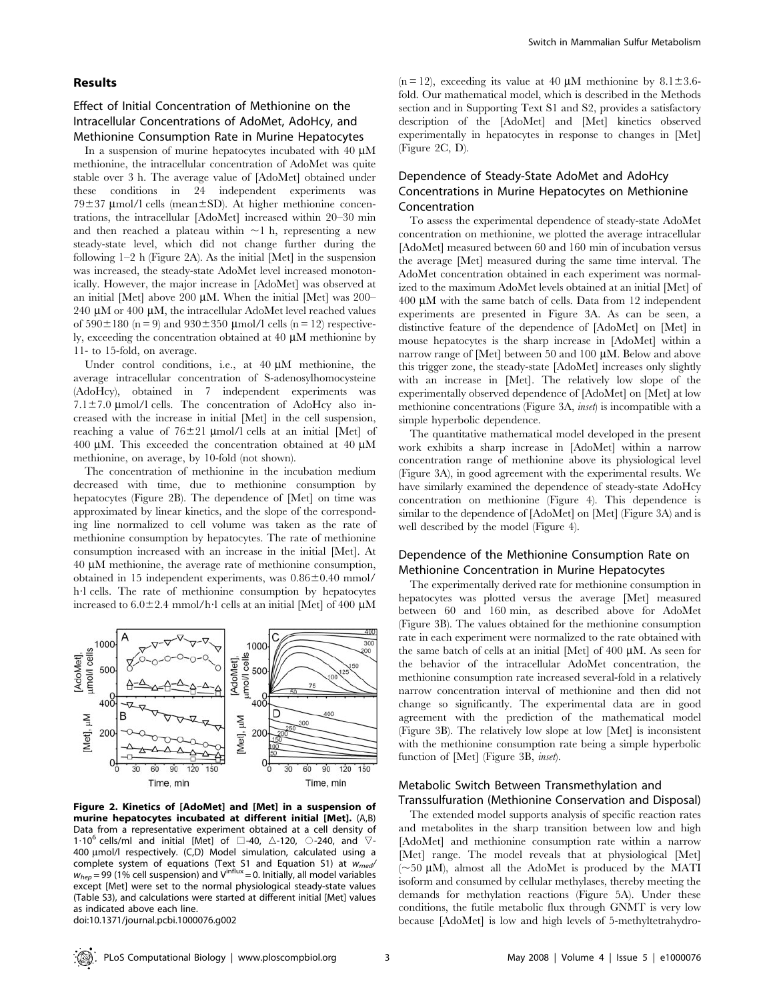#### Results

## Effect of Initial Concentration of Methionine on the Intracellular Concentrations of AdoMet, AdoHcy, and Methionine Consumption Rate in Murine Hepatocytes

In a suspension of murine hepatocytes incubated with  $40 \mu M$ methionine, the intracellular concentration of AdoMet was quite stable over 3 h. The average value of [AdoMet] obtained under these conditions in 24 independent experiments was  $79\pm37$  µmol/l cells (mean $\pm$ SD). At higher methionine concentrations, the intracellular [AdoMet] increased within 20–30 min and then reached a plateau within  $\sim$ 1 h, representing a new steady-state level, which did not change further during the following 1–2 h (Figure 2A). As the initial [Met] in the suspension was increased, the steady-state AdoMet level increased monotonically. However, the major increase in [AdoMet] was observed at an initial [Met] above 200  $\mu$ M. When the initial [Met] was 200– 240  $\mu$ M or 400  $\mu$ M, the intracellular AdoMet level reached values of  $590 \pm 180$  (n = 9) and  $930 \pm 350$  µmol/l cells (n = 12) respectively, exceeding the concentration obtained at 40  $\mu$ M methionine by 11- to 15-fold, on average.

Under control conditions, i.e., at 40  $\mu$ M methionine, the average intracellular concentration of S-adenosylhomocysteine (AdoHcy), obtained in 7 independent experiments was  $7.1 \pm 7.0$  µmol/l cells. The concentration of AdoHcy also increased with the increase in initial [Met] in the cell suspension, reaching a value of  $76\pm21 \text{ \mu}$  mol/l cells at an initial [Met] of 400  $\mu$ M. This exceeded the concentration obtained at 40  $\mu$ M methionine, on average, by 10-fold (not shown).

The concentration of methionine in the incubation medium decreased with time, due to methionine consumption by hepatocytes (Figure 2B). The dependence of [Met] on time was approximated by linear kinetics, and the slope of the corresponding line normalized to cell volume was taken as the rate of methionine consumption by hepatocytes. The rate of methionine consumption increased with an increase in the initial [Met]. At 40 mM methionine, the average rate of methionine consumption, obtained in 15 independent experiments, was  $0.86 \pm 0.40$  mmol/ h<sup>-1</sup> cells. The rate of methionine consumption by hepatocytes increased to  $6.0\pm2.4$  mmol/h·l cells at an initial [Met] of 400  $\mu$ M



Figure 2. Kinetics of [AdoMet] and [Met] in a suspension of murine hepatocytes incubated at different initial [Met]. (A,B) Data from a representative experiment obtained at a cell density of 1.10<sup>6</sup> cells/ml and initial [Met] of  $\Box$ -40,  $\triangle$ -120,  $\bigcirc$ -240, and  $\nabla$ -400 µmol/l respectively. (C,D) Model simulation, calculated using a complete system of equations (Text S1 and Equation S1) at  $w_{\text{med}}$ <br> $w_{\text{hep}}$  = 99 (1% cell suspension) and V<sup>influx</sup> = 0. Initially, all model variables except [Met] were set to the normal physiological steady-state values (Table S3), and calculations were started at different initial [Met] values as indicated above each line.

doi:10.1371/journal.pcbi.1000076.g002

(n = 12), exceeding its value at 40  $\mu$ M methionine by 8.1 $\pm$ 3.6fold. Our mathematical model, which is described in the Methods section and in Supporting Text S1 and S2, provides a satisfactory description of the [AdoMet] and [Met] kinetics observed experimentally in hepatocytes in response to changes in [Met] (Figure 2C, D).

## Dependence of Steady-State AdoMet and AdoHcy Concentrations in Murine Hepatocytes on Methionine Concentration

To assess the experimental dependence of steady-state AdoMet concentration on methionine, we plotted the average intracellular [AdoMet] measured between 60 and 160 min of incubation versus the average [Met] measured during the same time interval. The AdoMet concentration obtained in each experiment was normalized to the maximum AdoMet levels obtained at an initial [Met] of  $400 \mu M$  with the same batch of cells. Data from 12 independent experiments are presented in Figure 3A. As can be seen, a distinctive feature of the dependence of [AdoMet] on [Met] in mouse hepatocytes is the sharp increase in [AdoMet] within a narrow range of [Met] between 50 and 100  $\mu$ M. Below and above this trigger zone, the steady-state [AdoMet] increases only slightly with an increase in [Met]. The relatively low slope of the experimentally observed dependence of [AdoMet] on [Met] at low methionine concentrations (Figure 3A, inset) is incompatible with a simple hyperbolic dependence.

The quantitative mathematical model developed in the present work exhibits a sharp increase in [AdoMet] within a narrow concentration range of methionine above its physiological level (Figure 3A), in good agreement with the experimental results. We have similarly examined the dependence of steady-state AdoHcy concentration on methionine (Figure 4). This dependence is similar to the dependence of [AdoMet] on [Met] (Figure 3A) and is well described by the model (Figure 4).

## Dependence of the Methionine Consumption Rate on Methionine Concentration in Murine Hepatocytes

The experimentally derived rate for methionine consumption in hepatocytes was plotted versus the average [Met] measured between 60 and 160 min, as described above for AdoMet (Figure 3B). The values obtained for the methionine consumption rate in each experiment were normalized to the rate obtained with the same batch of cells at an initial [Met] of 400 µM. As seen for the behavior of the intracellular AdoMet concentration, the methionine consumption rate increased several-fold in a relatively narrow concentration interval of methionine and then did not change so significantly. The experimental data are in good agreement with the prediction of the mathematical model (Figure 3B). The relatively low slope at low [Met] is inconsistent with the methionine consumption rate being a simple hyperbolic function of [Met] (Figure 3B, *inset*).

#### Metabolic Switch Between Transmethylation and Transsulfuration (Methionine Conservation and Disposal)

The extended model supports analysis of specific reaction rates and metabolites in the sharp transition between low and high [AdoMet] and methionine consumption rate within a narrow [Met] range. The model reveals that at physiological [Met]  $(\sim 50 \mu M)$ , almost all the AdoMet is produced by the MATI isoform and consumed by cellular methylases, thereby meeting the demands for methylation reactions (Figure 5A). Under these conditions, the futile metabolic flux through GNMT is very low because [AdoMet] is low and high levels of 5-methyltetrahydro-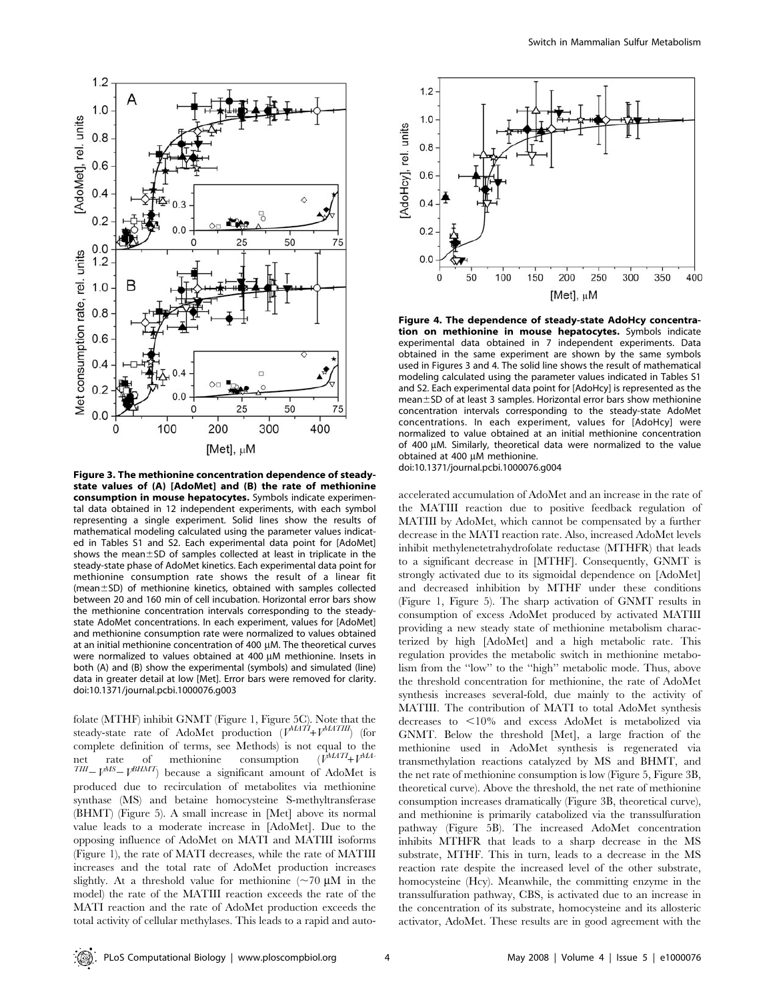

Figure 3. The methionine concentration dependence of steadystate values of (A) [AdoMet] and (B) the rate of methionine consumption in mouse hepatocytes. Symbols indicate experimental data obtained in 12 independent experiments, with each symbol representing a single experiment. Solid lines show the results of mathematical modeling calculated using the parameter values indicated in Tables S1 and S2. Each experimental data point for [AdoMet] shows the mean $\pm$ SD of samples collected at least in triplicate in the steady-state phase of AdoMet kinetics. Each experimental data point for methionine consumption rate shows the result of a linear fit (mean $\pm$ SD) of methionine kinetics, obtained with samples collected between 20 and 160 min of cell incubation. Horizontal error bars show the methionine concentration intervals corresponding to the steadystate AdoMet concentrations. In each experiment, values for [AdoMet] and methionine consumption rate were normalized to values obtained at an initial methionine concentration of 400 µM. The theoretical curves were normalized to values obtained at 400  $\mu$ M methionine. Insets in both (A) and (B) show the experimental (symbols) and simulated (line) data in greater detail at low [Met]. Error bars were removed for clarity. doi:10.1371/journal.pcbi.1000076.g003

folate (MTHF) inhibit GNMT (Figure 1, Figure 5C). Note that the steady-state rate of AdoMet production  $(V^{MATT} + V^{MATH})$  (for complete definition of terms, see Methods) is not equal to the net rate of methionine consumption  $(V^{MA}T + V^{MA} - V^{MA})$ rate of methionine consumption  $TIII - V^{MS} - V^{BHMT}$ ) because a significant amount of AdoMet is produced due to recirculation of metabolites via methionine synthase (MS) and betaine homocysteine S-methyltransferase (BHMT) (Figure 5). A small increase in [Met] above its normal value leads to a moderate increase in [AdoMet]. Due to the opposing influence of AdoMet on MATI and MATIII isoforms (Figure 1), the rate of MATI decreases, while the rate of MATIII increases and the total rate of AdoMet production increases slightly. At a threshold value for methionine ( $\sim$ 70  $\mu$ M in the model) the rate of the MATIII reaction exceeds the rate of the MATI reaction and the rate of AdoMet production exceeds the total activity of cellular methylases. This leads to a rapid and auto-



Figure 4. The dependence of steady-state AdoHcy concentration on methionine in mouse hepatocytes. Symbols indicate experimental data obtained in 7 independent experiments. Data obtained in the same experiment are shown by the same symbols used in Figures 3 and 4. The solid line shows the result of mathematical modeling calculated using the parameter values indicated in Tables S1 and S2. Each experimental data point for [AdoHcy] is represented as the mean $\pm$ SD of at least 3 samples. Horizontal error bars show methionine concentration intervals corresponding to the steady-state AdoMet concentrations. In each experiment, values for [AdoHcy] were normalized to value obtained at an initial methionine concentration of 400 µM. Similarly, theoretical data were normalized to the value obtained at 400  $\mu$ M methionine. doi:10.1371/journal.pcbi.1000076.g004

accelerated accumulation of AdoMet and an increase in the rate of the MATIII reaction due to positive feedback regulation of MATIII by AdoMet, which cannot be compensated by a further decrease in the MATI reaction rate. Also, increased AdoMet levels inhibit methylenetetrahydrofolate reductase (MTHFR) that leads to a significant decrease in [MTHF]. Consequently, GNMT is strongly activated due to its sigmoidal dependence on [AdoMet] and decreased inhibition by MTHF under these conditions (Figure 1, Figure 5). The sharp activation of GNMT results in consumption of excess AdoMet produced by activated MATIII providing a new steady state of methionine metabolism characterized by high [AdoMet] and a high metabolic rate. This regulation provides the metabolic switch in methionine metabolism from the ''low'' to the ''high'' metabolic mode. Thus, above the threshold concentration for methionine, the rate of AdoMet synthesis increases several-fold, due mainly to the activity of MATIII. The contribution of MATI to total AdoMet synthesis decreases to <10% and excess AdoMet is metabolized via GNMT. Below the threshold [Met], a large fraction of the methionine used in AdoMet synthesis is regenerated via transmethylation reactions catalyzed by MS and BHMT, and the net rate of methionine consumption is low (Figure 5, Figure 3B, theoretical curve). Above the threshold, the net rate of methionine consumption increases dramatically (Figure 3B, theoretical curve), and methionine is primarily catabolized via the transsulfuration pathway (Figure 5B). The increased AdoMet concentration inhibits MTHFR that leads to a sharp decrease in the MS substrate, MTHF. This in turn, leads to a decrease in the MS reaction rate despite the increased level of the other substrate, homocysteine (Hcy). Meanwhile, the committing enzyme in the transsulfuration pathway, CBS, is activated due to an increase in the concentration of its substrate, homocysteine and its allosteric activator, AdoMet. These results are in good agreement with the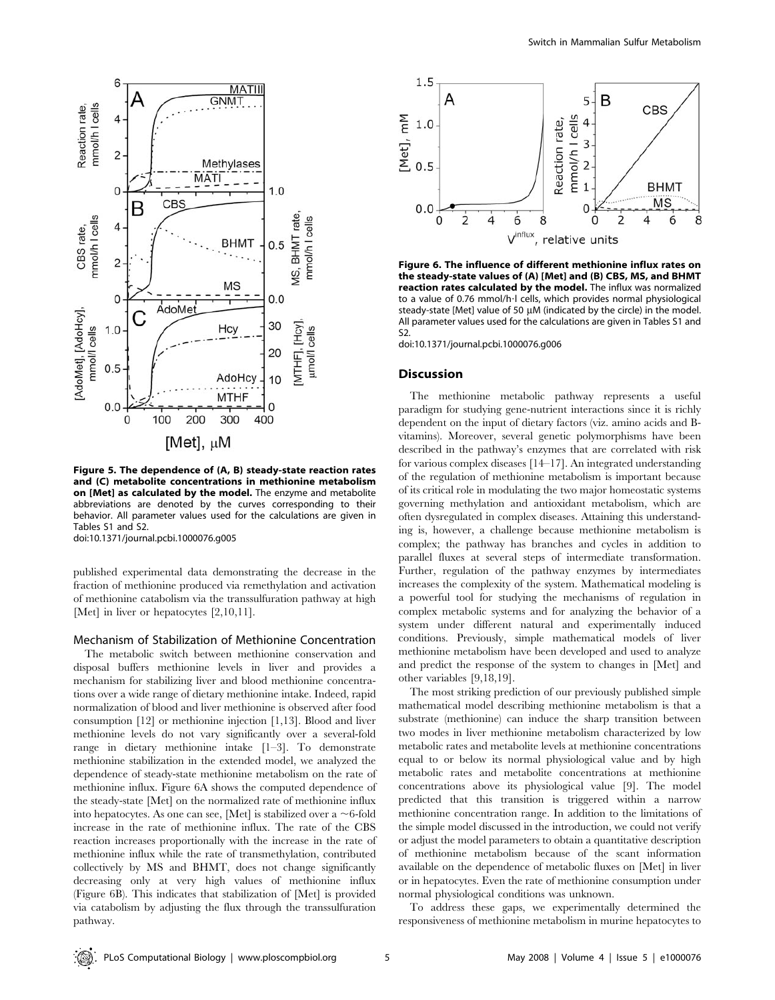

Figure 5. The dependence of (A, B) steady-state reaction rates and (C) metabolite concentrations in methionine metabolism on [Met] as calculated by the model. The enzyme and metabolite abbreviations are denoted by the curves corresponding to their behavior. All parameter values used for the calculations are given in Tables S1 and S2.

doi:10.1371/journal.pcbi.1000076.g005

published experimental data demonstrating the decrease in the fraction of methionine produced via remethylation and activation of methionine catabolism via the transsulfuration pathway at high [Met] in liver or hepatocytes [2,10,11].

#### Mechanism of Stabilization of Methionine Concentration

The metabolic switch between methionine conservation and disposal buffers methionine levels in liver and provides a mechanism for stabilizing liver and blood methionine concentrations over a wide range of dietary methionine intake. Indeed, rapid normalization of blood and liver methionine is observed after food consumption [12] or methionine injection [1,13]. Blood and liver methionine levels do not vary significantly over a several-fold range in dietary methionine intake [1–3]. To demonstrate methionine stabilization in the extended model, we analyzed the dependence of steady-state methionine metabolism on the rate of methionine influx. Figure 6A shows the computed dependence of the steady-state [Met] on the normalized rate of methionine influx into hepatocytes. As one can see, [Met] is stabilized over a  $\sim$ 6-fold increase in the rate of methionine influx. The rate of the CBS reaction increases proportionally with the increase in the rate of methionine influx while the rate of transmethylation, contributed collectively by MS and BHMT, does not change significantly decreasing only at very high values of methionine influx (Figure 6B). This indicates that stabilization of [Met] is provided via catabolism by adjusting the flux through the transsulfuration pathway.



Figure 6. The influence of different methionine influx rates on the steady-state values of (A) [Met] and (B) CBS, MS, and BHMT reaction rates calculated by the model. The influx was normalized to a value of 0.76 mmol/h·l cells, which provides normal physiological steady-state [Met] value of 50 µM (indicated by the circle) in the model. All parameter values used for the calculations are given in Tables S1 and S2.

doi:10.1371/journal.pcbi.1000076.g006

#### Discussion

The methionine metabolic pathway represents a useful paradigm for studying gene-nutrient interactions since it is richly dependent on the input of dietary factors (viz. amino acids and Bvitamins). Moreover, several genetic polymorphisms have been described in the pathway's enzymes that are correlated with risk for various complex diseases [14–17]. An integrated understanding of the regulation of methionine metabolism is important because of its critical role in modulating the two major homeostatic systems governing methylation and antioxidant metabolism, which are often dysregulated in complex diseases. Attaining this understanding is, however, a challenge because methionine metabolism is complex; the pathway has branches and cycles in addition to parallel fluxes at several steps of intermediate transformation. Further, regulation of the pathway enzymes by intermediates increases the complexity of the system. Mathematical modeling is a powerful tool for studying the mechanisms of regulation in complex metabolic systems and for analyzing the behavior of a system under different natural and experimentally induced conditions. Previously, simple mathematical models of liver methionine metabolism have been developed and used to analyze and predict the response of the system to changes in [Met] and other variables [9,18,19].

The most striking prediction of our previously published simple mathematical model describing methionine metabolism is that a substrate (methionine) can induce the sharp transition between two modes in liver methionine metabolism characterized by low metabolic rates and metabolite levels at methionine concentrations equal to or below its normal physiological value and by high metabolic rates and metabolite concentrations at methionine concentrations above its physiological value [9]. The model predicted that this transition is triggered within a narrow methionine concentration range. In addition to the limitations of the simple model discussed in the introduction, we could not verify or adjust the model parameters to obtain a quantitative description of methionine metabolism because of the scant information available on the dependence of metabolic fluxes on [Met] in liver or in hepatocytes. Even the rate of methionine consumption under normal physiological conditions was unknown.

To address these gaps, we experimentally determined the responsiveness of methionine metabolism in murine hepatocytes to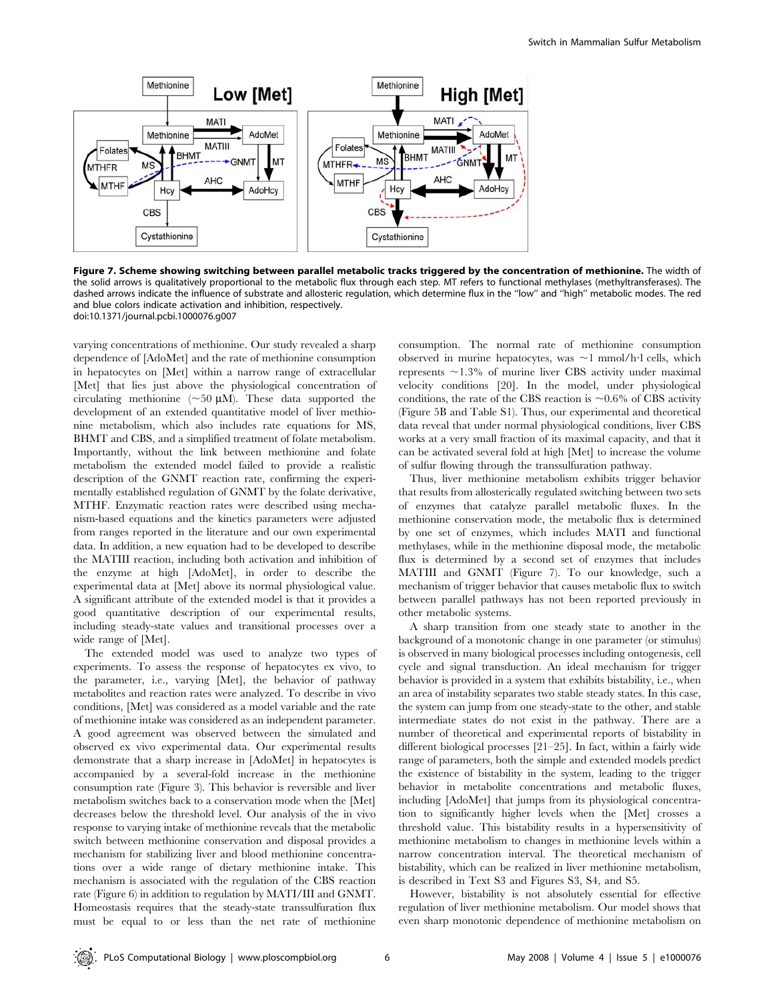

Figure 7. Scheme showing switching between parallel metabolic tracks triggered by the concentration of methionine. The width of the solid arrows is qualitatively proportional to the metabolic flux through each step. MT refers to functional methylases (methyltransferases). The dashed arrows indicate the influence of substrate and allosteric regulation, which determine flux in the ''low'' and ''high'' metabolic modes. The red and blue colors indicate activation and inhibition, respectively. doi:10.1371/journal.pcbi.1000076.g007

varying concentrations of methionine. Our study revealed a sharp dependence of [AdoMet] and the rate of methionine consumption in hepatocytes on [Met] within a narrow range of extracellular [Met] that lies just above the physiological concentration of circulating methionine ( $\sim$ 50  $\mu$ M). These data supported the development of an extended quantitative model of liver methionine metabolism, which also includes rate equations for MS, BHMT and CBS, and a simplified treatment of folate metabolism. Importantly, without the link between methionine and folate metabolism the extended model failed to provide a realistic description of the GNMT reaction rate, confirming the experimentally established regulation of GNMT by the folate derivative, MTHF. Enzymatic reaction rates were described using mechanism-based equations and the kinetics parameters were adjusted from ranges reported in the literature and our own experimental data. In addition, a new equation had to be developed to describe the MATIII reaction, including both activation and inhibition of the enzyme at high [AdoMet], in order to describe the experimental data at [Met] above its normal physiological value. A significant attribute of the extended model is that it provides a good quantitative description of our experimental results, including steady-state values and transitional processes over a wide range of [Met].

The extended model was used to analyze two types of experiments. To assess the response of hepatocytes ex vivo, to the parameter, i.e., varying [Met], the behavior of pathway metabolites and reaction rates were analyzed. To describe in vivo conditions, [Met] was considered as a model variable and the rate of methionine intake was considered as an independent parameter. A good agreement was observed between the simulated and observed ex vivo experimental data. Our experimental results demonstrate that a sharp increase in [AdoMet] in hepatocytes is accompanied by a several-fold increase in the methionine consumption rate (Figure 3). This behavior is reversible and liver metabolism switches back to a conservation mode when the [Met] decreases below the threshold level. Our analysis of the in vivo response to varying intake of methionine reveals that the metabolic switch between methionine conservation and disposal provides a mechanism for stabilizing liver and blood methionine concentrations over a wide range of dietary methionine intake. This mechanism is associated with the regulation of the CBS reaction rate (Figure 6) in addition to regulation by MATI/III and GNMT. Homeostasis requires that the steady-state transsulfuration flux must be equal to or less than the net rate of methionine

consumption. The normal rate of methionine consumption observed in murine hepatocytes, was  $\sim$ 1 mmol/h·l cells, which represents  $\sim$ 1.3% of murine liver CBS activity under maximal velocity conditions [20]. In the model, under physiological conditions, the rate of the CBS reaction is  $\sim 0.6\%$  of CBS activity (Figure 5B and Table S1). Thus, our experimental and theoretical data reveal that under normal physiological conditions, liver CBS works at a very small fraction of its maximal capacity, and that it can be activated several fold at high [Met] to increase the volume of sulfur flowing through the transsulfuration pathway.

Thus, liver methionine metabolism exhibits trigger behavior that results from allosterically regulated switching between two sets of enzymes that catalyze parallel metabolic fluxes. In the methionine conservation mode, the metabolic flux is determined by one set of enzymes, which includes MATI and functional methylases, while in the methionine disposal mode, the metabolic flux is determined by a second set of enzymes that includes MATIII and GNMT (Figure 7). To our knowledge, such a mechanism of trigger behavior that causes metabolic flux to switch between parallel pathways has not been reported previously in other metabolic systems.

A sharp transition from one steady state to another in the background of a monotonic change in one parameter (or stimulus) is observed in many biological processes including ontogenesis, cell cycle and signal transduction. An ideal mechanism for trigger behavior is provided in a system that exhibits bistability, i.e., when an area of instability separates two stable steady states. In this case, the system can jump from one steady-state to the other, and stable intermediate states do not exist in the pathway. There are a number of theoretical and experimental reports of bistability in different biological processes [21–25]. In fact, within a fairly wide range of parameters, both the simple and extended models predict the existence of bistability in the system, leading to the trigger behavior in metabolite concentrations and metabolic fluxes, including [AdoMet] that jumps from its physiological concentration to significantly higher levels when the [Met] crosses a threshold value. This bistability results in a hypersensitivity of methionine metabolism to changes in methionine levels within a narrow concentration interval. The theoretical mechanism of bistability, which can be realized in liver methionine metabolism, is described in Text S3 and Figures S3, S4, and S5.

However, bistability is not absolutely essential for effective regulation of liver methionine metabolism. Our model shows that even sharp monotonic dependence of methionine metabolism on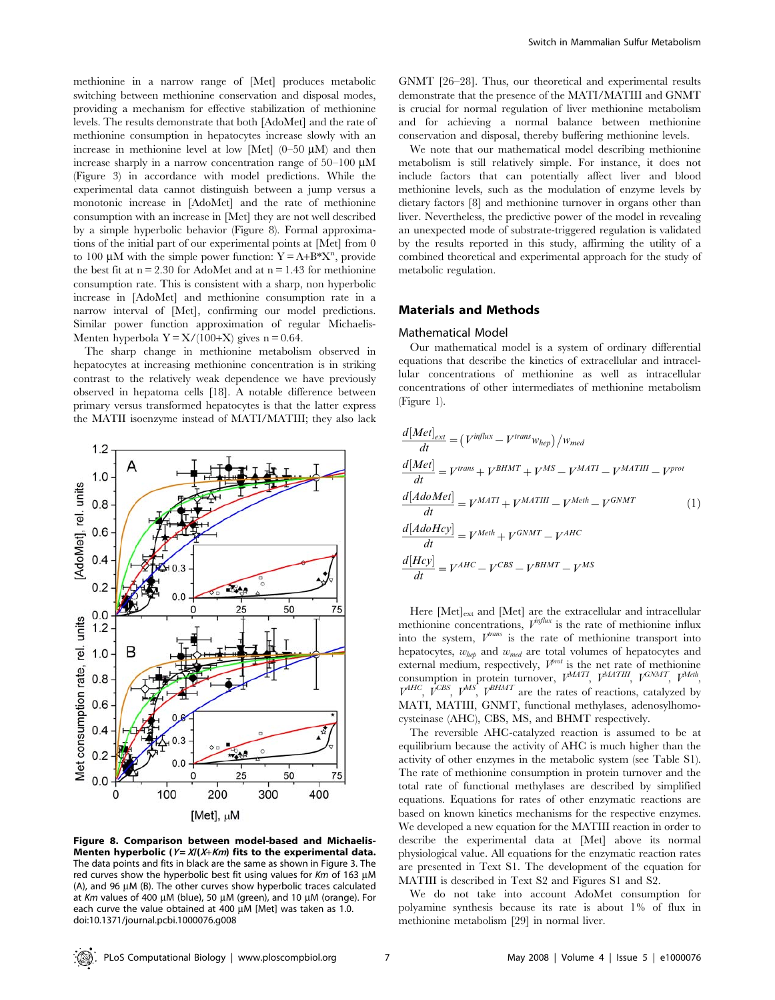methionine in a narrow range of [Met] produces metabolic switching between methionine conservation and disposal modes, providing a mechanism for effective stabilization of methionine levels. The results demonstrate that both [AdoMet] and the rate of methionine consumption in hepatocytes increase slowly with an increase in methionine level at low [Met]  $(0-50 \mu M)$  and then increase sharply in a narrow concentration range of  $50-100 \mu M$ (Figure 3) in accordance with model predictions. While the experimental data cannot distinguish between a jump versus a monotonic increase in [AdoMet] and the rate of methionine consumption with an increase in [Met] they are not well described by a simple hyperbolic behavior (Figure 8). Formal approximations of the initial part of our experimental points at [Met] from 0 to 100  $\mu$ M with the simple power function: Y = A+B\*X<sup>n</sup>, provide the best fit at  $n = 2.30$  for AdoMet and at  $n = 1.43$  for methionine consumption rate. This is consistent with a sharp, non hyperbolic increase in [AdoMet] and methionine consumption rate in a narrow interval of [Met], confirming our model predictions. Similar power function approximation of regular Michaelis-Menten hyperbola  $Y = X/(100+X)$  gives n = 0.64.

The sharp change in methionine metabolism observed in hepatocytes at increasing methionine concentration is in striking contrast to the relatively weak dependence we have previously observed in hepatoma cells [18]. A notable difference between primary versus transformed hepatocytes is that the latter express the MATII isoenzyme instead of MATI/MATIII; they also lack



Figure 8. Comparison between model-based and Michaelis-Menten hyperbolic ( $Y = X/(X+Km)$  fits to the experimental data. The data points and fits in black are the same as shown in Figure 3. The red curves show the hyperbolic best fit using values for  $Km$  of 163  $\mu$ M (A), and 96  $\mu$ M (B). The other curves show hyperbolic traces calculated at Km values of 400  $\mu$ M (blue), 50  $\mu$ M (green), and 10  $\mu$ M (orange). For each curve the value obtained at 400  $\mu$ M [Met] was taken as 1.0. doi:10.1371/journal.pcbi.1000076.g008

GNMT [26–28]. Thus, our theoretical and experimental results demonstrate that the presence of the MATI/MATIII and GNMT is crucial for normal regulation of liver methionine metabolism and for achieving a normal balance between methionine conservation and disposal, thereby buffering methionine levels.

We note that our mathematical model describing methionine metabolism is still relatively simple. For instance, it does not include factors that can potentially affect liver and blood methionine levels, such as the modulation of enzyme levels by dietary factors [8] and methionine turnover in organs other than liver. Nevertheless, the predictive power of the model in revealing an unexpected mode of substrate-triggered regulation is validated by the results reported in this study, affirming the utility of a combined theoretical and experimental approach for the study of metabolic regulation.

## Materials and Methods

#### Mathematical Model

Our mathematical model is a system of ordinary differential equations that describe the kinetics of extracellular and intracellular concentrations of methionine as well as intracellular concentrations of other intermediates of methionine metabolism (Figure 1).

$$
\frac{d[Met]}{dt} = (V^{influx} - V^{trans}w_{hep})/w_{med}
$$
\n
$$
\frac{d[Met]}{dt} = V^{trans} + V^{BHMT} + V^{MS} - V^{MATI} - V^{MATII} - V^{prot}
$$
\n
$$
\frac{d[AdoMet]}{dt} = V^{MATI} + V^{MATIII} - V^{Meth} - V^{GNMT}
$$
\n
$$
\frac{d[AdoHcy]}{dt} = V^{Meth} + V^{GNMT} - V^{AHC}
$$
\n
$$
\frac{d[Hcy]}{dt} = V^{AHC} - V^{CBS} - V^{BHMT} - V^{MS}
$$
\n(1)

Here  $[Met]_{ext}$  and  $[Met]$  are the extracellular and intracellular methionine concentrations,  $V^{mflux}$  is the rate of methionine influx into the system,  $V^{trans}$  is the rate of methionine transport into hepatocytes,  $w_{heb}$  and  $w_{med}$  are total volumes of hepatocytes and external medium, respectively,  $V^{prot}$  is the net rate of methionine consumption in protein turnover,  $V^{MATI}$ ,  $V^{MATII}$ ,  $V^{GNAT}$ ,  $V^{Meth}$ ,  $V^{HIC}$ ,  $V^{CBS}$ ,  $V^{MS}$ ,  $V^{BHMT}$  are the rates of reactions, catalyzed by MATI, MATIII, GNMT, functional methylases, adenosylhomocysteinase (AHC), CBS, MS, and BHMT respectively.

The reversible AHC-catalyzed reaction is assumed to be at equilibrium because the activity of AHC is much higher than the activity of other enzymes in the metabolic system (see Table S1). The rate of methionine consumption in protein turnover and the total rate of functional methylases are described by simplified equations. Equations for rates of other enzymatic reactions are based on known kinetics mechanisms for the respective enzymes. We developed a new equation for the MATIII reaction in order to describe the experimental data at [Met] above its normal physiological value. All equations for the enzymatic reaction rates are presented in Text S1. The development of the equation for MATIII is described in Text S2 and Figures S1 and S2.

We do not take into account AdoMet consumption for polyamine synthesis because its rate is about 1% of flux in methionine metabolism [29] in normal liver.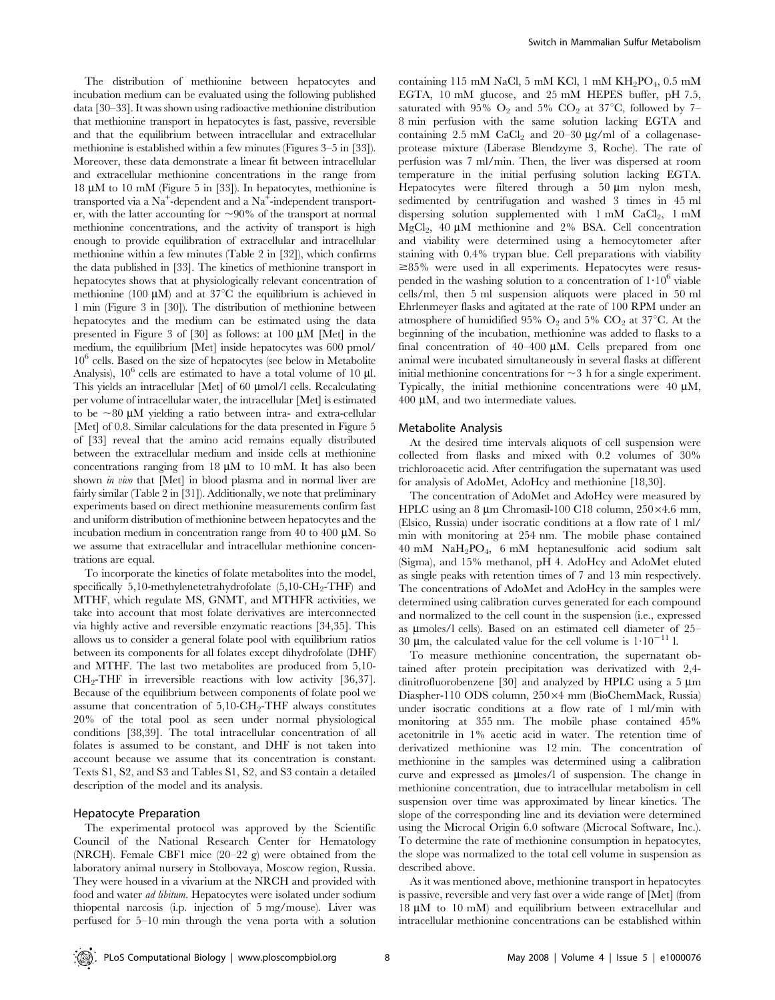The distribution of methionine between hepatocytes and incubation medium can be evaluated using the following published data [30–33]. It was shown using radioactive methionine distribution that methionine transport in hepatocytes is fast, passive, reversible and that the equilibrium between intracellular and extracellular methionine is established within a few minutes (Figures 3–5 in [33]). Moreover, these data demonstrate a linear fit between intracellular and extracellular methionine concentrations in the range from  $18 \mu M$  to  $10 \mu M$  (Figure 5 in [33]). In hepatocytes, methionine is transported via a Na<sup>+</sup>-dependent and a Na<sup>+</sup>-independent transporter, with the latter accounting for  $\sim 90\%$  of the transport at normal methionine concentrations, and the activity of transport is high enough to provide equilibration of extracellular and intracellular methionine within a few minutes (Table 2 in [32]), which confirms the data published in [33]. The kinetics of methionine transport in hepatocytes shows that at physiologically relevant concentration of methionine (100  $\mu$ M) and at 37<sup>o</sup>C the equilibrium is achieved in 1 min (Figure 3 in [30]). The distribution of methionine between hepatocytes and the medium can be estimated using the data presented in Figure 3 of  $[30]$  as follows: at 100  $\mu$ M [Met] in the medium, the equilibrium [Met] inside hepatocytes was 600 pmol/  $10<sup>6</sup>$  cells. Based on the size of hepatocytes (see below in Metabolite Analysis),  $10^6$  cells are estimated to have a total volume of 10  $\mu$ l. This yields an intracellular [Met] of 60  $\mu$ mol/l cells. Recalculating per volume of intracellular water, the intracellular [Met] is estimated to be  $\sim$ 80  $\mu$ M yielding a ratio between intra- and extra-cellular [Met] of 0.8. Similar calculations for the data presented in Figure 5 of [33] reveal that the amino acid remains equally distributed between the extracellular medium and inside cells at methionine concentrations ranging from  $18 \mu M$  to  $10 \mu M$ . It has also been shown *in vivo* that [Met] in blood plasma and in normal liver are fairly similar (Table 2 in [31]). Additionally, we note that preliminary experiments based on direct methionine measurements confirm fast and uniform distribution of methionine between hepatocytes and the incubation medium in concentration range from 40 to 400  $\mu$ M. So we assume that extracellular and intracellular methionine concentrations are equal.

To incorporate the kinetics of folate metabolites into the model, specifically 5,10-methylenetetrahydrofolate  $(5,10\text{-}CH_2\text{-}THF)$  and MTHF, which regulate MS, GNMT, and MTHFR activities, we take into account that most folate derivatives are interconnected via highly active and reversible enzymatic reactions [34,35]. This allows us to consider a general folate pool with equilibrium ratios between its components for all folates except dihydrofolate (DHF) and MTHF. The last two metabolites are produced from 5,10-  $CH_2$ -THF in irreversible reactions with low activity [36,37]. Because of the equilibrium between components of folate pool we assume that concentration of  $5,10\text{-CH}_2\text{-}THF$  always constitutes 20% of the total pool as seen under normal physiological conditions [38,39]. The total intracellular concentration of all folates is assumed to be constant, and DHF is not taken into account because we assume that its concentration is constant. Texts S1, S2, and S3 and Tables S1, S2, and S3 contain a detailed description of the model and its analysis.

#### Hepatocyte Preparation

The experimental protocol was approved by the Scientific Council of the National Research Center for Hematology (NRCH). Female CBF1 mice (20–22 g) were obtained from the laboratory animal nursery in Stolbovaya, Moscow region, Russia. They were housed in a vivarium at the NRCH and provided with food and water ad libitum. Hepatocytes were isolated under sodium thiopental narcosis (i.p. injection of 5 mg/mouse). Liver was perfused for 5–10 min through the vena porta with a solution

containing 115 mM NaCl, 5 mM KCl, 1 mM  $KH_2PO_4$ , 0.5 mM EGTA, 10 mM glucose, and 25 mM HEPES buffer, pH 7.5, saturated with 95%  $O_2$  and 5%  $CO_2$  at 37°C, followed by 7– 8 min perfusion with the same solution lacking EGTA and containing 2.5 mM CaCl<sub>2</sub> and 20–30  $\mu$ g/ml of a collagenaseprotease mixture (Liberase Blendzyme 3, Roche). The rate of perfusion was 7 ml/min. Then, the liver was dispersed at room temperature in the initial perfusing solution lacking EGTA. Hepatocytes were filtered through a  $50 \mu m$  nylon mesh, sedimented by centrifugation and washed 3 times in 45 ml dispersing solution supplemented with  $1 \text{ mM }$  CaCl<sub>2</sub>,  $1 \text{ mM}$  $MgCl<sub>2</sub>$ , 40 µM methionine and 2% BSA. Cell concentration and viability were determined using a hemocytometer after staining with 0.4% trypan blue. Cell preparations with viability  $\geq$ 85% were used in all experiments. Hepatocytes were resuspended in the washing solution to a concentration of  $1 \cdot 10^6$  viable cells/ml, then 5 ml suspension aliquots were placed in 50 ml Ehrlenmeyer flasks and agitated at the rate of 100 RPM under an atmosphere of humidified 95%  $O_2$  and 5%  $CO_2$  at 37°C. At the beginning of the incubation, methionine was added to flasks to a final concentration of  $40-400 \mu M$ . Cells prepared from one animal were incubated simultaneously in several flasks at different initial methionine concentrations for  $\sim$  3 h for a single experiment. Typically, the initial methionine concentrations were  $40 \mu M$ ,  $400 \mu M$ , and two intermediate values.

#### Metabolite Analysis

At the desired time intervals aliquots of cell suspension were collected from flasks and mixed with 0.2 volumes of 30% trichloroacetic acid. After centrifugation the supernatant was used for analysis of AdoMet, AdoHcy and methionine [18,30].

The concentration of AdoMet and AdoHcy were measured by HPLC using an 8  $\mu$ m Chromasil-100 C18 column, 250×4.6 mm, (Elsico, Russia) under isocratic conditions at a flow rate of 1 ml/ min with monitoring at 254 nm. The mobile phase contained 40 mM NaH2PO4, 6 mM heptanesulfonic acid sodium salt (Sigma), and 15% methanol, pH 4. AdoHcy and AdoMet eluted as single peaks with retention times of 7 and 13 min respectively. The concentrations of AdoMet and AdoHcy in the samples were determined using calibration curves generated for each compound and normalized to the cell count in the suspension (i.e., expressed as µmoles/l cells). Based on an estimated cell diameter of 25– 30 µm, the calculated value for the cell volume is  $1.10^{-11}$  l.

To measure methionine concentration, the supernatant obtained after protein precipitation was derivatized with 2,4 dinitrofluorobenzene [30] and analyzed by HPLC using a 5  $\mu$ m Diaspher-110 ODS column, 250×4 mm (BioChemMack, Russia) under isocratic conditions at a flow rate of 1 ml/min with monitoring at 355 nm. The mobile phase contained 45% acetonitrile in 1% acetic acid in water. The retention time of derivatized methionine was 12 min. The concentration of methionine in the samples was determined using a calibration curve and expressed as  $\mu$ moles/l of suspension. The change in methionine concentration, due to intracellular metabolism in cell suspension over time was approximated by linear kinetics. The slope of the corresponding line and its deviation were determined using the Microcal Origin 6.0 software (Microcal Software, Inc.). To determine the rate of methionine consumption in hepatocytes, the slope was normalized to the total cell volume in suspension as described above.

As it was mentioned above, methionine transport in hepatocytes is passive, reversible and very fast over a wide range of [Met] (from  $18 \mu M$  to  $10 \text{ mM}$ ) and equilibrium between extracellular and intracellular methionine concentrations can be established within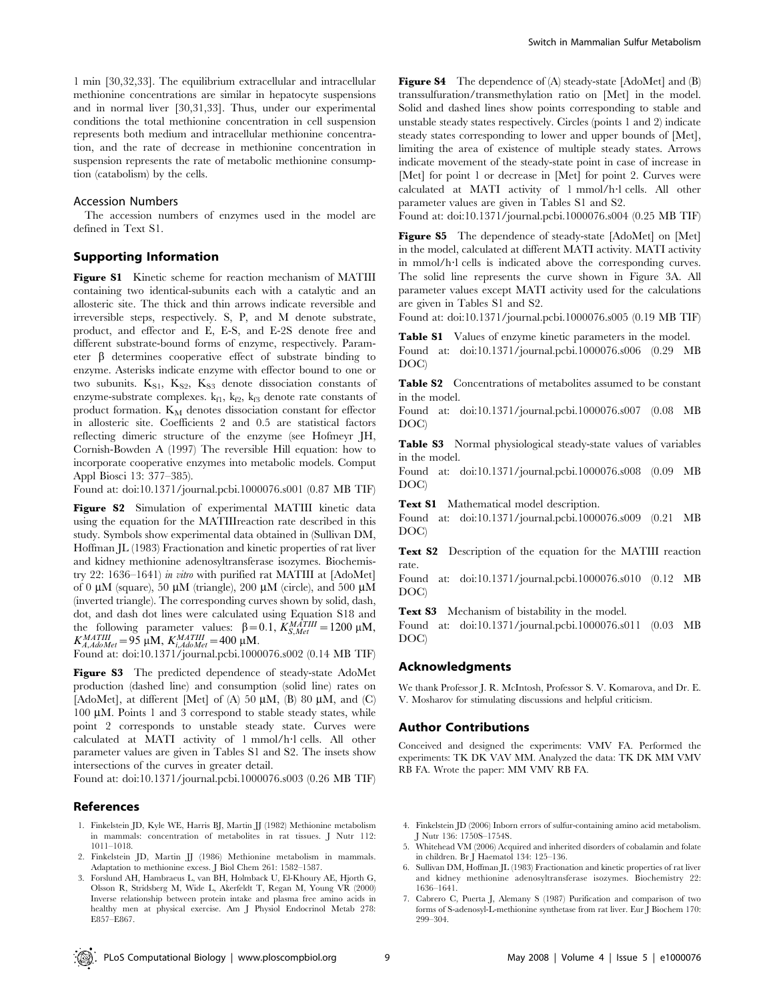1 min [30,32,33]. The equilibrium extracellular and intracellular methionine concentrations are similar in hepatocyte suspensions and in normal liver [30,31,33]. Thus, under our experimental conditions the total methionine concentration in cell suspension represents both medium and intracellular methionine concentration, and the rate of decrease in methionine concentration in suspension represents the rate of metabolic methionine consumption (catabolism) by the cells.

#### Accession Numbers

The accession numbers of enzymes used in the model are defined in Text S1.

#### Supporting Information

Figure S1 Kinetic scheme for reaction mechanism of MATIII containing two identical-subunits each with a catalytic and an allosteric site. The thick and thin arrows indicate reversible and irreversible steps, respectively. S, P, and M denote substrate, product, and effector and E, E-S, and E-2S denote free and different substrate-bound forms of enzyme, respectively. Parameter  $\beta$  determines cooperative effect of substrate binding to enzyme. Asterisks indicate enzyme with effector bound to one or two subunits.  $K_{S1}$ ,  $K_{S2}$ ,  $K_{S3}$  denote dissociation constants of enzyme-substrate complexes.  $k_{f1}$ ,  $k_{f2}$ ,  $k_{f3}$  denote rate constants of product formation.  $K_M$  denotes dissociation constant for effector in allosteric site. Coefficients 2 and 0.5 are statistical factors reflecting dimeric structure of the enzyme (see Hofmeyr JH, Cornish-Bowden A (1997) The reversible Hill equation: how to incorporate cooperative enzymes into metabolic models. Comput Appl Biosci 13: 377–385).

Found at: doi:10.1371/journal.pcbi.1000076.s001 (0.87 MB TIF)

Figure S2 Simulation of experimental MATIII kinetic data using the equation for the MATIIIreaction rate described in this study. Symbols show experimental data obtained in (Sullivan DM, Hoffman JL (1983) Fractionation and kinetic properties of rat liver and kidney methionine adenosyltransferase isozymes. Biochemistry 22: 1636–1641) in vitro with purified rat MATIII at [AdoMet] of 0  $\mu$ M (square), 50  $\mu$ M (triangle), 200  $\mu$ M (circle), and 500  $\mu$ M (inverted triangle). The corresponding curves shown by solid, dash, dot, and dash dot lines were calculated using Equation S18 and the following parameter values:  $\beta = 0.1$ ,  $K_{S,Met}^{MATIII} = 1200 \mu M$ ,  $K_{A,AdoMet}^{MATIII}$  = 95 µM,  $K_{i,AdoMet}^{MATIII}$  = 400 µM.

Found at: doi:10.1371/journal.pcbi.1000076.s002 (0.14 MB TIF)

Figure S3 The predicted dependence of steady-state AdoMet production (dashed line) and consumption (solid line) rates on [AdoMet], at different [Met] of (A) 50  $\mu$ M, (B) 80  $\mu$ M, and (C)  $100 \mu M$ . Points 1 and 3 correspond to stable steady states, while point 2 corresponds to unstable steady state. Curves were calculated at MATI activity of 1 mmol/h·l cells. All other parameter values are given in Tables S1 and S2. The insets show intersections of the curves in greater detail.

Found at: doi:10.1371/journal.pcbi.1000076.s003 (0.26 MB TIF)

## References

- 1. Finkelstein JD, Kyle WE, Harris BJ, Martin JJ (1982) Methionine metabolism in mammals: concentration of metabolites in rat tissues. J Nutr 112: 1011–1018.
- 2. Finkelstein JD, Martin JJ (1986) Methionine metabolism in mammals. Adaptation to methionine excess. J Biol Chem 261: 1582–1587.
- 3. Forslund AH, Hambraeus L, van BH, Holmback U, El-Khoury AE, Hjorth G, Olsson R, Stridsberg M, Wide L, Akerfeldt T, Regan M, Young VR (2000) Inverse relationship between protein intake and plasma free amino acids in healthy men at physical exercise. Am J Physiol Endocrinol Metab 278: E857–E867.

**Figure S4** The dependence of (A) steady-state [AdoMet] and (B) transsulfuration/transmethylation ratio on [Met] in the model. Solid and dashed lines show points corresponding to stable and unstable steady states respectively. Circles (points 1 and 2) indicate steady states corresponding to lower and upper bounds of [Met], limiting the area of existence of multiple steady states. Arrows indicate movement of the steady-state point in case of increase in [Met] for point 1 or decrease in [Met] for point 2. Curves were calculated at MATI activity of 1 mmol/h?l cells. All other parameter values are given in Tables S1 and S2.

Found at: doi:10.1371/journal.pcbi.1000076.s004 (0.25 MB TIF)

Figure S5 The dependence of steady-state [AdoMet] on [Met] in the model, calculated at different MATI activity. MATI activity in mmol/h?l cells is indicated above the corresponding curves. The solid line represents the curve shown in Figure 3A. All parameter values except MATI activity used for the calculations are given in Tables S1 and S2.

Found at: doi:10.1371/journal.pcbi.1000076.s005 (0.19 MB TIF)

Table S1 Values of enzyme kinetic parameters in the model.

Found at: doi:10.1371/journal.pcbi.1000076.s006 (0.29 MB DOC)

Table S2 Concentrations of metabolites assumed to be constant in the model.

Found at: doi:10.1371/journal.pcbi.1000076.s007 (0.08 MB DOC)

Table S3 Normal physiological steady-state values of variables in the model.

Found at: doi:10.1371/journal.pcbi.1000076.s008 (0.09 MB DOC)

Text S1 Mathematical model description.

Found at: doi:10.1371/journal.pcbi.1000076.s009 (0.21 MB DOC)

Text S2 Description of the equation for the MATIII reaction rate.

Found at: doi:10.1371/journal.pcbi.1000076.s010 (0.12 MB DOC)

Text S3 Mechanism of bistability in the model.

Found at: doi:10.1371/journal.pcbi.1000076.s011 (0.03 MB DOC)

## Acknowledgments

We thank Professor J. R. McIntosh, Professor S. V. Komarova, and Dr. E. V. Mosharov for stimulating discussions and helpful criticism.

#### Author Contributions

Conceived and designed the experiments: VMV FA. Performed the experiments: TK DK VAV MM. Analyzed the data: TK DK MM VMV RB FA. Wrote the paper: MM VMV RB FA.

- 4. Finkelstein JD (2006) Inborn errors of sulfur-containing amino acid metabolism. J Nutr 136: 1750S–1754S.
- 5. Whitehead VM (2006) Acquired and inherited disorders of cobalamin and folate in children. Br J Haematol 134: 125–136.
- 6. Sullivan DM, Hoffman JL (1983) Fractionation and kinetic properties of rat liver and kidney methionine adenosyltransferase isozymes. Biochemistry 22: 1636–1641.
- 7. Cabrero C, Puerta J, Alemany S (1987) Purification and comparison of two forms of S-adenosyl-L-methionine synthetase from rat liver. Eur J Biochem 170: 299–304.